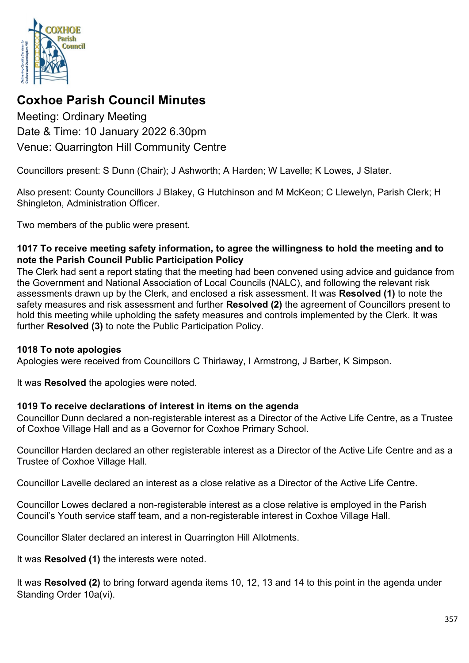

# **Coxhoe Parish Council Minutes**

Meeting: Ordinary Meeting Date & Time: 10 January 2022 6.30pm Venue: Quarrington Hill Community Centre

Councillors present: S Dunn (Chair); J Ashworth; A Harden; W Lavelle; K Lowes, J Slater.

Also present: County Councillors J Blakey, G Hutchinson and M McKeon; C Llewelyn, Parish Clerk; H Shingleton, Administration Officer.

Two members of the public were present.

#### **1017 To receive meeting safety information, to agree the willingness to hold the meeting and to note the Parish Council Public Participation Policy**

The Clerk had sent a report stating that the meeting had been convened using advice and guidance from the Government and National Association of Local Councils (NALC), and following the relevant risk assessments drawn up by the Clerk, and enclosed a risk assessment. It was **Resolved (1)** to note the safety measures and risk assessment and further **Resolved (2)** the agreement of Councillors present to hold this meeting while upholding the safety measures and controls implemented by the Clerk. It was further **Resolved (3)** to note the Public Participation Policy.

#### **1018 To note apologies**

Apologies were received from Councillors C Thirlaway, I Armstrong, J Barber, K Simpson.

It was **Resolved** the apologies were noted.

#### **1019 To receive declarations of interest in items on the agenda**

Councillor Dunn declared a non-registerable interest as a Director of the Active Life Centre, as a Trustee of Coxhoe Village Hall and as a Governor for Coxhoe Primary School.

Councillor Harden declared an other registerable interest as a Director of the Active Life Centre and as a Trustee of Coxhoe Village Hall.

Councillor Lavelle declared an interest as a close relative as a Director of the Active Life Centre.

Councillor Lowes declared a non-registerable interest as a close relative is employed in the Parish Council's Youth service staff team, and a non-registerable interest in Coxhoe Village Hall.

Councillor Slater declared an interest in Quarrington Hill Allotments.

It was **Resolved (1)** the interests were noted.

It was **Resolved (2)** to bring forward agenda items 10, 12, 13 and 14 to this point in the agenda under Standing Order 10a(vi).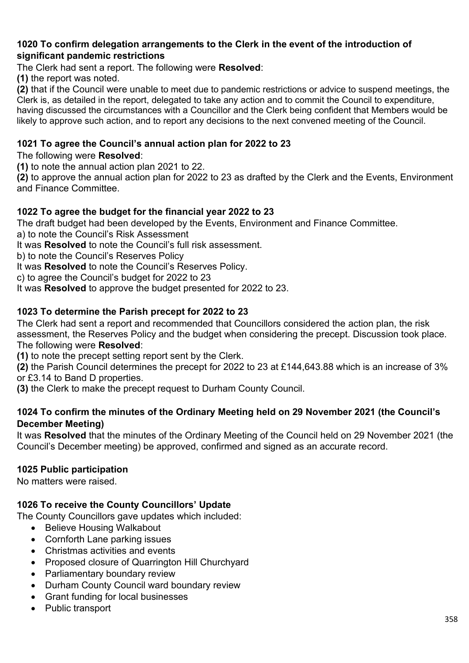#### **1020 To confirm delegation arrangements to the Clerk in the event of the introduction of significant pandemic restrictions**

The Clerk had sent a report. The following were **Resolved**:

**(1)** the report was noted.

**(2)** that if the Council were unable to meet due to pandemic restrictions or advice to suspend meetings, the Clerk is, as detailed in the report, delegated to take any action and to commit the Council to expenditure, having discussed the circumstances with a Councillor and the Clerk being confident that Members would be likely to approve such action, and to report any decisions to the next convened meeting of the Council.

# **1021 To agree the Council's annual action plan for 2022 to 23**

### The following were **Resolved**:

**(1)** to note the annual action plan 2021 to 22.

**(2)** to approve the annual action plan for 2022 to 23 as drafted by the Clerk and the Events, Environment and Finance Committee.

# **1022 To agree the budget for the financial year 2022 to 23**

The draft budget had been developed by the Events, Environment and Finance Committee.

a) to note the Council's Risk Assessment

It was **Resolved** to note the Council's full risk assessment.

b) to note the Council's Reserves Policy

It was **Resolved** to note the Council's Reserves Policy.

c) to agree the Council's budget for 2022 to 23

It was **Resolved** to approve the budget presented for 2022 to 23.

# **1023 To determine the Parish precept for 2022 to 23**

The Clerk had sent a report and recommended that Councillors considered the action plan, the risk assessment, the Reserves Policy and the budget when considering the precept. Discussion took place. The following were **Resolved**:

**(1)** to note the precept setting report sent by the Clerk.

**(2)** the Parish Council determines the precept for 2022 to 23 at £144,643.88 which is an increase of 3% or £3.14 to Band D properties.

**(3)** the Clerk to make the precept request to Durham County Council.

# **1024 To confirm the minutes of the Ordinary Meeting held on 29 November 2021 (the Council's December Meeting)**

It was **Resolved** that the minutes of the Ordinary Meeting of the Council held on 29 November 2021 (the Council's December meeting) be approved, confirmed and signed as an accurate record.

#### **1025 Public participation**

No matters were raised.

# **1026 To receive the County Councillors' Update**

The County Councillors gave updates which included:

- Believe Housing Walkabout
- Cornforth Lane parking issues
- Christmas activities and events
- Proposed closure of Quarrington Hill Churchyard
- Parliamentary boundary review
- Durham County Council ward boundary review
- Grant funding for local businesses
- Public transport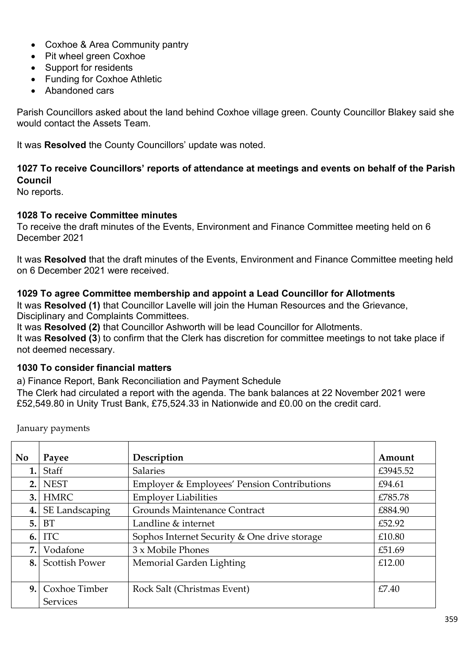- Coxhoe & Area Community pantry
- Pit wheel green Coxhoe
- Support for residents
- Funding for Coxhoe Athletic
- Abandoned cars

Parish Councillors asked about the land behind Coxhoe village green. County Councillor Blakey said she would contact the Assets Team.

It was **Resolved** the County Councillors' update was noted.

# **1027 To receive Councillors' reports of attendance at meetings and events on behalf of the Parish Council**

No reports.

# **1028 To receive Committee minutes**

To receive the draft minutes of the Events, Environment and Finance Committee meeting held on 6 December 2021

It was **Resolved** that the draft minutes of the Events, Environment and Finance Committee meeting held on 6 December 2021 were received.

# **1029 To agree Committee membership and appoint a Lead Councillor for Allotments**

It was **Resolved (1)** that Councillor Lavelle will join the Human Resources and the Grievance, Disciplinary and Complaints Committees.

It was **Resolved (2)** that Councillor Ashworth will be lead Councillor for Allotments.

It was **Resolved (3**) to confirm that the Clerk has discretion for committee meetings to not take place if not deemed necessary.

#### **1030 To consider financial matters**

a) Finance Report, Bank Reconciliation and Payment Schedule

The Clerk had circulated a report with the agenda. The bank balances at 22 November 2021 were £52,549.80 in Unity Trust Bank, £75,524.33 in Nationwide and £0.00 on the credit card.

| <b>No</b> | Payee                            | Description                                  | Amount   |
|-----------|----------------------------------|----------------------------------------------|----------|
| 1.        | Staff                            | <b>Salaries</b>                              | £3945.52 |
| 2.        | <b>NEST</b>                      | Employer & Employees' Pension Contributions  | £94.61   |
| 3.        | <b>HMRC</b>                      | <b>Employer Liabilities</b>                  | £785.78  |
| 4.        | SE Landscaping                   | Grounds Maintenance Contract                 | £884.90  |
| 5.        | <b>BT</b>                        | Landline & internet                          | £52.92   |
| 6.        | <b>ITC</b>                       | Sophos Internet Security & One drive storage | £10.80   |
| 7.        | Vodafone                         | 3 x Mobile Phones                            | £51.69   |
| 8.        | <b>Scottish Power</b>            | Memorial Garden Lighting                     | £12.00   |
| 9.        | Coxhoe Timber<br><b>Services</b> | Rock Salt (Christmas Event)                  | £7.40    |

January payments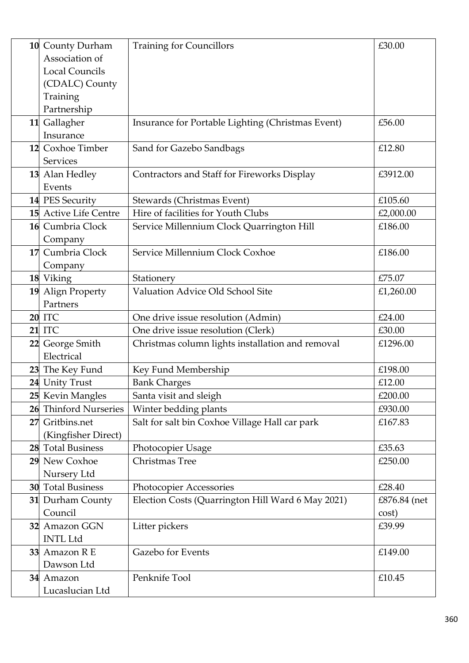|    | 10 County Durham          | <b>Training for Councillors</b>                   | £30.00       |
|----|---------------------------|---------------------------------------------------|--------------|
|    | Association of            |                                                   |              |
|    | <b>Local Councils</b>     |                                                   |              |
|    | (CDALC) County            |                                                   |              |
|    | Training                  |                                                   |              |
|    | Partnership               |                                                   |              |
|    | 11 Gallagher              | Insurance for Portable Lighting (Christmas Event) | £56.00       |
|    | Insurance                 |                                                   |              |
|    | 12 Coxhoe Timber          | Sand for Gazebo Sandbags                          | £12.80       |
|    | Services                  |                                                   |              |
|    | 13 Alan Hedley            | Contractors and Staff for Fireworks Display       | £3912.00     |
|    | Events                    |                                                   |              |
|    | 14 PES Security           | Stewards (Christmas Event)                        | £105.60      |
|    | 15 Active Life Centre     | Hire of facilities for Youth Clubs                | £2,000.00    |
|    | 16 Cumbria Clock          | Service Millennium Clock Quarrington Hill         | £186.00      |
|    | Company                   |                                                   |              |
| 17 | Cumbria Clock             | Service Millennium Clock Coxhoe                   | £186.00      |
|    | Company                   |                                                   |              |
|    | 18 Viking                 | Stationery                                        | £75.07       |
|    | 19 Align Property         | Valuation Advice Old School Site                  | £1,260.00    |
|    | Partners                  |                                                   |              |
|    | <b>20 ITC</b>             | One drive issue resolution (Admin)                | £24.00       |
|    | <b>21 ITC</b>             | One drive issue resolution (Clerk)                | £30.00       |
|    | 22 George Smith           | Christmas column lights installation and removal  | £1296.00     |
|    | Electrical                |                                                   |              |
|    | 23 The Key Fund           | Key Fund Membership                               | £198.00      |
|    | 24 Unity Trust            | <b>Bank Charges</b>                               | £12.00       |
|    | 25 Kevin Mangles          | Santa visit and sleigh                            | £200.00      |
| 26 | <b>Thinford Nurseries</b> | Winter bedding plants                             | £930.00      |
| 27 | Gritbins.net              | Salt for salt bin Coxhoe Village Hall car park    | £167.83      |
|    | (Kingfisher Direct)       |                                                   |              |
|    | 28 Total Business         | Photocopier Usage                                 | £35.63       |
|    | 29 New Coxhoe             | Christmas Tree                                    | £250.00      |
|    | Nursery Ltd               |                                                   |              |
|    | <b>30</b> Total Business  | Photocopier Accessories                           | £28.40       |
|    | 31 Durham County          | Election Costs (Quarrington Hill Ward 6 May 2021) | £876.84 (net |
|    | Council                   |                                                   | cost)        |
|    | 32 Amazon GGN             | Litter pickers                                    | £39.99       |
|    | <b>INTL Ltd</b>           |                                                   |              |
| 33 | Amazon R E                | Gazebo for Events                                 | £149.00      |
|    | Dawson Ltd                |                                                   |              |
|    | 34 Amazon                 | Penknife Tool                                     | £10.45       |
|    | Lucaslucian Ltd           |                                                   |              |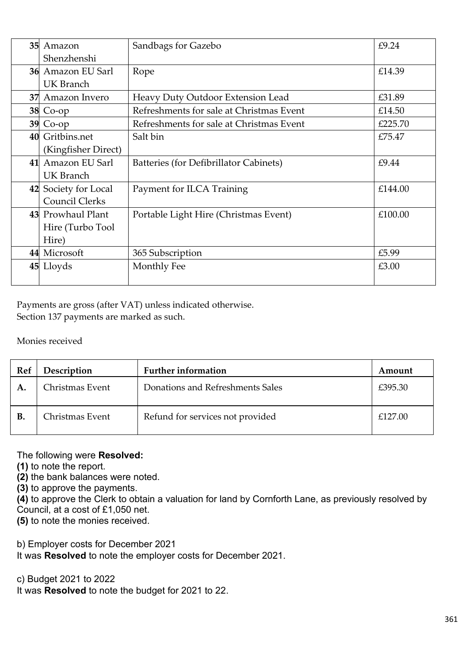| 35 | Amazon                   | Sandbags for Gazebo                      | £9.24   |
|----|--------------------------|------------------------------------------|---------|
|    | Shenzhenshi              |                                          |         |
|    | <b>36</b> Amazon EU Sarl | Rope                                     | £14.39  |
|    | UK Branch                |                                          |         |
|    | 37 Amazon Invero         | Heavy Duty Outdoor Extension Lead        | £31.89  |
|    | $38$ Co-op               | Refreshments for sale at Christmas Event | £14.50  |
|    | $39$ Co-op               | Refreshments for sale at Christmas Event | £225.70 |
|    | 40 Gritbins.net          | Salt bin                                 | £75.47  |
|    | (Kingfisher Direct)      |                                          |         |
| 41 | Amazon EU Sarl           | Batteries (for Defibrillator Cabinets)   | £9.44   |
|    | UK Branch                |                                          |         |
|    | 42 Society for Local     | Payment for ILCA Training                | £144.00 |
|    | Council Clerks           |                                          |         |
|    | 43 Prowhaul Plant        | Portable Light Hire (Christmas Event)    | £100.00 |
|    | Hire (Turbo Tool         |                                          |         |
|    | Hire)                    |                                          |         |
|    | 44 Microsoft             | 365 Subscription                         | £5.99   |
|    | 45 Lloyds                | Monthly Fee                              | £3.00   |
|    |                          |                                          |         |

Payments are gross (after VAT) unless indicated otherwise. Section 137 payments are marked as such.

Monies received

| Ref | Description     | <b>Further information</b>       | Amount  |
|-----|-----------------|----------------------------------|---------|
| A.  | Christmas Event | Donations and Refreshments Sales | £395.30 |
| Β.  | Christmas Event | Refund for services not provided | £127.00 |

#### The following were **Resolved:**

**(1)** to note the report.

**(2)** the bank balances were noted.

**(3)** to approve the payments.

**(4)** to approve the Clerk to obtain a valuation for land by Cornforth Lane, as previously resolved by

Council, at a cost of £1,050 net.

**(5)** to note the monies received.

b) Employer costs for December 2021

It was **Resolved** to note the employer costs for December 2021.

c) Budget 2021 to 2022

It was **Resolved** to note the budget for 2021 to 22.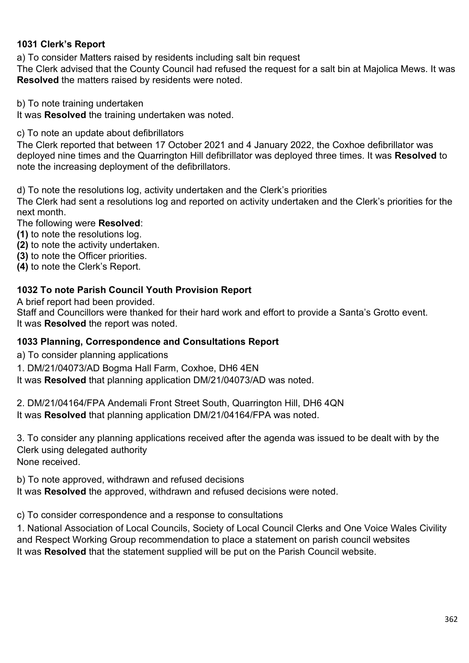# **1031 Clerk's Report**

a) To consider Matters raised by residents including salt bin request

The Clerk advised that the County Council had refused the request for a salt bin at Majolica Mews. It was **Resolved** the matters raised by residents were noted.

b) To note training undertaken

It was **Resolved** the training undertaken was noted.

c) To note an update about defibrillators

The Clerk reported that between 17 October 2021 and 4 January 2022, the Coxhoe defibrillator was deployed nine times and the Quarrington Hill defibrillator was deployed three times. It was **Resolved** to note the increasing deployment of the defibrillators.

d) To note the resolutions log, activity undertaken and the Clerk's priorities

The Clerk had sent a resolutions log and reported on activity undertaken and the Clerk's priorities for the next month.

The following were **Resolved**:

- **(1)** to note the resolutions log.
- **(2)** to note the activity undertaken.
- **(3)** to note the Officer priorities.
- **(4)** to note the Clerk's Report.

#### **1032 To note Parish Council Youth Provision Report**

A brief report had been provided.

Staff and Councillors were thanked for their hard work and effort to provide a Santa's Grotto event. It was **Resolved** the report was noted.

#### **1033 Planning, Correspondence and Consultations Report**

a) To consider planning applications

1. DM/21/04073/AD Bogma Hall Farm, Coxhoe, DH6 4EN

It was **Resolved** that planning application DM/21/04073/AD was noted.

2. DM/21/04164/FPA Andemali Front Street South, Quarrington Hill, DH6 4QN It was **Resolved** that planning application DM/21/04164/FPA was noted.

3. To consider any planning applications received after the agenda was issued to be dealt with by the Clerk using delegated authority

None received.

b) To note approved, withdrawn and refused decisions

It was **Resolved** the approved, withdrawn and refused decisions were noted.

c) To consider correspondence and a response to consultations

1. National Association of Local Councils, Society of Local Council Clerks and One Voice Wales Civility and Respect Working Group recommendation to place a statement on parish council websites It was **Resolved** that the statement supplied will be put on the Parish Council website.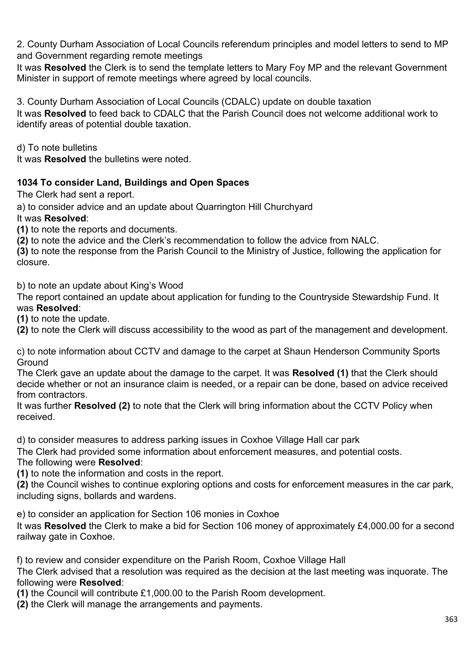2. County Durham Association of Local Councils referendum principles and model letters to send to MP and Government regarding remote meetings

It was **Resolved** the Clerk is to send the template letters to Mary Foy MP and the relevant Government Minister in support of remote meetings where agreed by local councils.

3. County Durham Association of Local Councils (CDALC) update on double taxation It was **Resolved** to feed back to CDALC that the Parish Council does not welcome additional work to identify areas of potential double taxation.

d) To note bulletins

It was **Resolved** the bulletins were noted.

# **1034 To consider Land, Buildings and Open Spaces**

The Clerk had sent a report.

a) to consider advice and an update about Quarrington Hill Churchyard

It was **Resolved**:

**(1)** to note the reports and documents.

**(2)** to note the advice and the Clerk's recommendation to follow the advice from NALC.

**(3)** to note the response from the Parish Council to the Ministry of Justice, following the application for closure.

b) to note an update about King's Wood

The report contained an update about application for funding to the Countryside Stewardship Fund. It was **Resolved**:

**(1)** to note the update.

**(2)** to note the Clerk will discuss accessibility to the wood as part of the management and development.

c) to note information about CCTV and damage to the carpet at Shaun Henderson Community Sports **Ground** 

The Clerk gave an update about the damage to the carpet. It was **Resolved (1)** that the Clerk should decide whether or not an insurance claim is needed, or a repair can be done, based on advice received from contractors.

It was further **Resolved (2)** to note that the Clerk will bring information about the CCTV Policy when received.

d) to consider measures to address parking issues in Coxhoe Village Hall car park

The Clerk had provided some information about enforcement measures, and potential costs.

#### The following were **Resolved**:

**(1)** to note the information and costs in the report.

**(2)** the Council wishes to continue exploring options and costs for enforcement measures in the car park, including signs, bollards and wardens.

e) to consider an application for Section 106 monies in Coxhoe

It was **Resolved** the Clerk to make a bid for Section 106 money of approximately £4,000.00 for a second railway gate in Coxhoe.

f) to review and consider expenditure on the Parish Room, Coxhoe Village Hall

The Clerk advised that a resolution was required as the decision at the last meeting was inquorate. The following were **Resolved**:

**(1)** the Council will contribute £1,000.00 to the Parish Room development.

**(2)** the Clerk will manage the arrangements and payments.